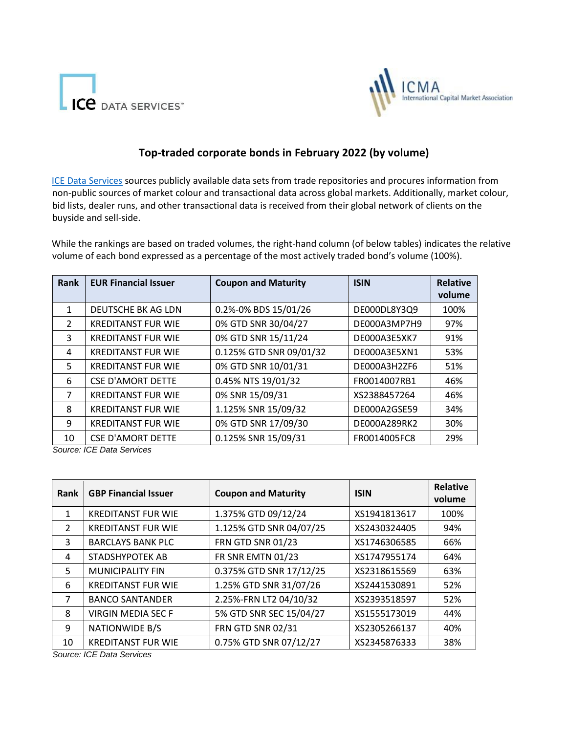



## **Top-traded corporate bonds in February 2022 (by volume)**

[ICE Data Services](https://www.theice.com/market-data) [s](https://www.theice.com/market-data)ources publicly available data sets from trade repositories and procures information from non-public sources of market colour and transactional data across global markets. Additionally, market colour, bid lists, dealer runs, and other transactional data is received from their global network of clients on the buyside and sell-side.

While the rankings are based on traded volumes, the right-hand column (of below tables) indicates the relative volume of each bond expressed as a percentage of the most actively traded bond's volume (100%).

| Rank          | <b>EUR Financial Issuer</b> | <b>Coupon and Maturity</b> | <b>ISIN</b>  | <b>Relative</b><br>volume |
|---------------|-----------------------------|----------------------------|--------------|---------------------------|
|               |                             |                            |              |                           |
| 1             | DEUTSCHE BK AG LDN          | 0.2%-0% BDS 15/01/26       | DE000DL8Y3Q9 | 100%                      |
| $\mathcal{L}$ | <b>KREDITANST FUR WIE</b>   | 0% GTD SNR 30/04/27        | DE000A3MP7H9 | 97%                       |
| 3             | <b>KREDITANST FUR WIE</b>   | 0% GTD SNR 15/11/24        | DE000A3E5XK7 | 91%                       |
| 4             | <b>KREDITANST FUR WIE</b>   | 0.125% GTD SNR 09/01/32    | DE000A3E5XN1 | 53%                       |
| 5             | <b>KREDITANST FUR WIE</b>   | 0% GTD SNR 10/01/31        | DE000A3H2ZF6 | 51%                       |
| 6             | <b>CSE D'AMORT DETTE</b>    | 0.45% NTS 19/01/32         | FR0014007RB1 | 46%                       |
| 7             | <b>KREDITANST FUR WIE</b>   | 0% SNR 15/09/31            | XS2388457264 | 46%                       |
| 8             | <b>KREDITANST FUR WIE</b>   | 1.125% SNR 15/09/32        | DE000A2GSE59 | 34%                       |
| 9             | <b>KREDITANST FUR WIE</b>   | 0% GTD SNR 17/09/30        | DE000A289RK2 | 30%                       |
| 10            | <b>CSE D'AMORT DETTE</b>    | 0.125% SNR 15/09/31        | FR0014005FC8 | 29%                       |

*Source: ICE Data Services*

| Rank           | <b>GBP Financial Issuer</b> | <b>Coupon and Maturity</b> | <b>ISIN</b>  | <b>Relative</b><br>volume |
|----------------|-----------------------------|----------------------------|--------------|---------------------------|
| 1              | <b>KREDITANST FUR WIE</b>   | 1.375% GTD 09/12/24        | XS1941813617 | 100%                      |
| $\mathcal{L}$  | <b>KREDITANST FUR WIE</b>   | 1.125% GTD SNR 04/07/25    | XS2430324405 | 94%                       |
| 3              | <b>BARCLAYS BANK PLC</b>    | <b>FRN GTD SNR 01/23</b>   | XS1746306585 | 66%                       |
| 4              | <b>STADSHYPOTEK AB</b>      | FR SNR EMTN 01/23          | XS1747955174 | 64%                       |
| 5.             | MUNICIPALITY FIN            | 0.375% GTD SNR 17/12/25    | XS2318615569 | 63%                       |
| 6              | <b>KREDITANST FUR WIE</b>   | 1.25% GTD SNR 31/07/26     | XS2441530891 | 52%                       |
| $\overline{7}$ | <b>BANCO SANTANDER</b>      | 2.25%-FRN LT2 04/10/32     | XS2393518597 | 52%                       |
| 8              | <b>VIRGIN MEDIA SEC F</b>   | 5% GTD SNR SEC 15/04/27    | XS1555173019 | 44%                       |
| 9              | <b>NATIONWIDE B/S</b>       | <b>FRN GTD SNR 02/31</b>   | XS2305266137 | 40%                       |
| 10             | <b>KREDITANST FUR WIE</b>   | 0.75% GTD SNR 07/12/27     | XS2345876333 | 38%                       |

*Source: ICE Data Services*